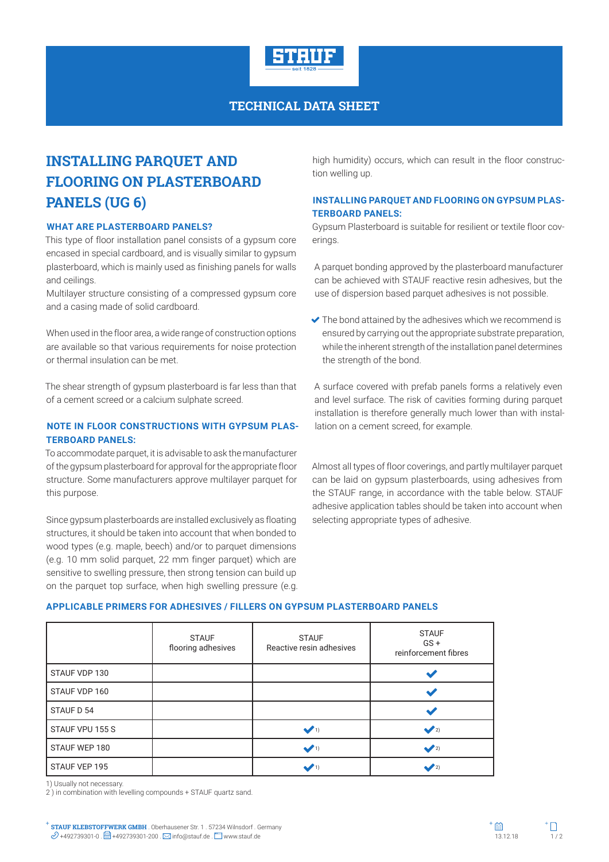

## **TECHNICAL DATA SHEET**

# **INSTALLING PARQUET AND FLOORING ON PLASTERBOARD PANELS (UG 6)**

#### **WHAT ARE PLASTERBOARD PANELS?**

This type of floor installation panel consists of a gypsum core encased in special cardboard, and is visually similar to gypsum plasterboard, which is mainly used as finishing panels for walls and ceilings.

Multilayer structure consisting of a compressed gypsum core and a casing made of solid cardboard.

When used in the floor area, a wide range of construction options are available so that various requirements for noise protection or thermal insulation can be met.

The shear strength of gypsum plasterboard is far less than that of a cement screed or a calcium sulphate screed.

## **NOTE IN FLOOR CONSTRUCTIONS WITH GYPSUM PLAS-TERBOARD PANELS:**

To accommodate parquet, it is advisable to ask the manufacturer of the gypsum plasterboard for approval for the appropriate floor structure. Some manufacturers approve multilayer parquet for this purpose.

Since gypsum plasterboards are installed exclusively as floating structures, it should be taken into account that when bonded to wood types (e.g. maple, beech) and/or to parquet dimensions (e.g. 10 mm solid parquet, 22 mm finger parquet) which are sensitive to swelling pressure, then strong tension can build up on the parquet top surface, when high swelling pressure (e.g. high humidity) occurs, which can result in the floor construction welling up.

## **INSTALLING PARQUET AND FLOORING ON GYPSUM PLAS-TERBOARD PANELS:**

Gypsum Plasterboard is suitable for resilient or textile floor coverings.

A parquet bonding approved by the plasterboard manufacturer can be achieved with STAUF reactive resin adhesives, but the use of dispersion based parquet adhesives is not possible.

 $\blacktriangleright$  The bond attained by the adhesives which we recommend is ensured by carrying out the appropriate substrate preparation, while the inherent strength of the installation panel determines the strength of the bond.

A surface covered with prefab panels forms a relatively even and level surface. The risk of cavities forming during parquet installation is therefore generally much lower than with installation on a cement screed, for example.

Almost all types of floor coverings, and partly multilayer parquet can be laid on gypsum plasterboards, using adhesives from the STAUF range, in accordance with the table below. STAUF adhesive application tables should be taken into account when selecting appropriate types of adhesive.

#### **APPLICABLE PRIMERS FOR ADHESIVES / FILLERS ON GYPSUM PLASTERBOARD PANELS**

|                 | <b>STAUF</b><br>flooring adhesives | <b>STAUF</b><br>Reactive resin adhesives | <b>STAUF</b><br>$GS +$<br>reinforcement fibres |
|-----------------|------------------------------------|------------------------------------------|------------------------------------------------|
| STAUF VDP 130   |                                    |                                          |                                                |
| STAUF VDP 160   |                                    |                                          |                                                |
| STAUF D 54      |                                    |                                          |                                                |
| STAUF VPU 155 S |                                    | $\sqrt{1}$                               | $\sqrt{2}$                                     |
| STAUF WEP 180   |                                    | $\sqrt{1}$                               | $\sqrt{2}$                                     |
| STAUF VEP 195   |                                    | $\sqrt{1}$                               | $\bullet$ 2)                                   |

1) Usually not necessary.

2 ) in combination with levelling compounds + STAUF quartz sand.